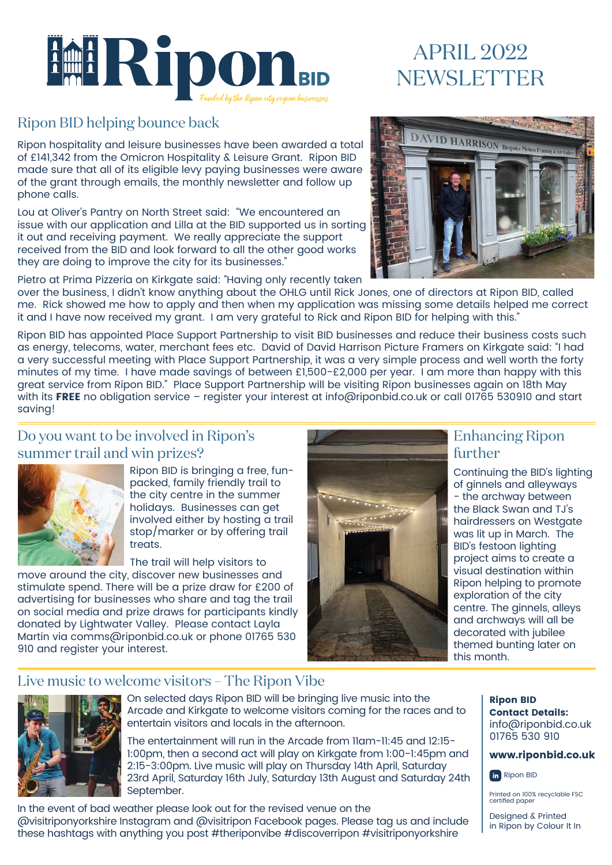

# APRIL 2022 NEWSLETTER

### Ripon BID helping bounce back

Ripon hospitality and leisure businesses have been awarded a total of £141,342 from the Omicron Hospitality & Leisure Grant. Ripon BID made sure that all of its eligible levy paying businesses were aware of the grant through emails, the monthly newsletter and follow up phone calls.

Lou at Oliver's Pantry on North Street said: "We encountered an issue with our application and Lilla at the BID supported us in sorting it out and receiving payment. We really appreciate the support received from the BID and look forward to all the other good works they are doing to improve the city for its businesses."

Pietro at Prima Pizzeria on Kirkgate said: "Having only recently taken



over the business, I didn't know anything about the OHLG until Rick Jones, one of directors at Ripon BID, called me. Rick showed me how to apply and then when my application was missing some details helped me correct it and I have now received my grant. I am very grateful to Rick and Ripon BID for helping with this."

Ripon BID has appointed Place Support Partnership to visit BID businesses and reduce their business costs such as energy, telecoms, water, merchant fees etc. David of David Harrison Picture Framers on Kirkgate said: "I had a very successful meeting with Place Support Partnership, it was a very simple process and well worth the forty minutes of my time. I have made savings of between £1,500-£2,000 per year. I am more than happy with this great service from Ripon BID." Place Support Partnership will be visiting Ripon businesses again on 18th May with its FREE no obligation service - register your interest at info@riponbid.co.uk or call 01765 530910 and start saving!

### Do you want to be involved in Ripon's summer trail and win prizes?



Ripon BID is bringing a free, funpacked, family friendly trail to the city centre in the summer holidays. Businesses can get involved either by hosting a trail stop/marker or by offering trail treats.

The trail will help visitors to

move around the city, discover new businesses and stimulate spend. There will be a prize draw for £200 of advertising for businesses who share and tag the trail on social media and prize draws for participants kindly donated by Lightwater Valley. Please contact Layla Martin via comms@riponbid.co.uk or phone 01765 530 910 and register your interest.



### Enhancing Ripon further

Continuing the BID's lighting of ginnels and alleyways - the archway between the Black Swan and TJ's hairdressers on Westgate was lit up in March. The BID's festoon lighting project aims to create a visual destination within Ripon helping to promote exploration of the city centre. The ginnels, alleys and archways will all be decorated with jubilee themed bunting later on this month.

### Live music to welcome visitors – The Ripon Vibe



On selected days Ripon BID will be bringing live music into the Arcade and Kirkgate to welcome visitors coming for the races and to entertain visitors and locals in the afternoon.

The entertainment will run in the Arcade from 11am-11:45 and 12:15- 1:00pm, then a second act will play on Kirkgate from 1:00-1:45pm and 2:15-3:00pm. Live music will play on Thursday 14th April, Saturday 23rd April, Saturday 16th July, Saturday 13th August and Saturday 24th September.

In the event of bad weather please look out for the revised venue on the @visitriponyorkshire Instagram and @visitripon Facebook pages. Please tag us and include these hashtags with anything you post #theriponvibe #discoverripon #visitriponyorkshire

#### Ripon BID Contact Details: info@riponbid.co.uk 01765 530 910

#### www.riponbid.co.uk



Printed on 100% recyclable FSC certified paper

Designed & Printed in Ripon by Colour It In